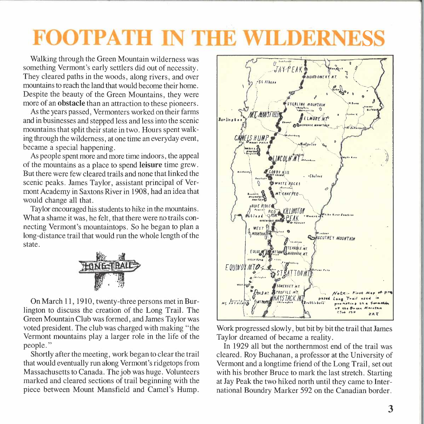## **FOOTPATH IN THE WILDERNESS**

Walking through the Green Mountain wilderness was something Vermont's early settlers did out of necessity. They cleared paths in the woods, along rivers, and over mountains to reach the land that would become their home. Despite the beauty of the Green Mountains, they were more of an **obstacle** than an attraction to these pioneers.

As the years passed, Vermonters worked on their farms and in businesses and stepped less and less into the scenic mountains that split their state in two. Hours spent walking through the wilderness, at one time an everyday event, became a special happening.

As people spent more and more time indoors, the appeal of the mountains as a place to spend **leisure** time grew. But there were few cleared trails and none that linked the scenic peaks. James Taylor, assistant principal of Vermont Academy in Saxtons River in 1908, had an idea that would change all that.

Taylor encouraged his students to hike in the mountains. What a shame it was, he felt, that there were no trails connecting Vermont's mountaintops. So he began to plan a long-distance trail that would run the whole length of the state.



On March 11, 1910, twenty-three persons met in Burlington to discuss the creation of the Long Trail. The Green Mountain Club was formed, and James Taylor was voted president. The club was charged with making "the Vermont mountains play a larger role in the life of the people."

Shortly after the meeting, work began to clear the trail that would eventually run along Vermont's ridgetops from Massachusetts to Canada. The job was huge. Volunteers marked and cleared sections of trail beginning with the piece between Mount Mansfield and Camel's Hump.



Work progressed slowly, but bit by bit the trail that James Taylor dreamed of became a reality.

In 1929 all but the northernmost end of the trail was cleared. Roy Buchanan, a professor at the University of Vermont and a longtime friend of the Long Trail, set out with his brother Bruce to mark the last stretch. Starting at Jay Peak the two hiked north until they came to International Boundry Marker 592 on the Canadian border.